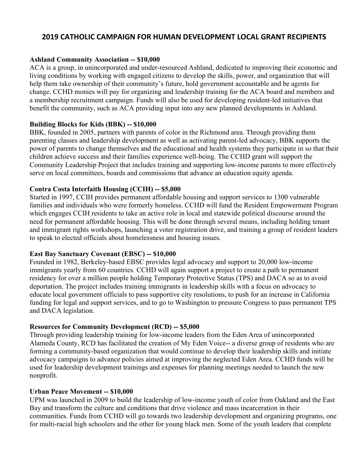# **2019 CATHOLIC CAMPAIGN FOR HUMAN DEVELOPMENT LOCAL GRANT RECIPIENTS**

### **Ashland Community Association -- \$10,000**

ACA is a group, in unincorporated and under-resourced Ashland, dedicated to improving their economic and living conditions by working with engaged citizens to develop the skills, power, and organization that will help them take ownership of their community's future, hold government accountable and be agents for change. CCHD monies will pay for organizing and leadership training for the ACA board and members and a membership recruitment campaign. Funds will also be used for developing resident-led initiatives that benefit the community, such as ACA providing input into any new planned developments in Ashland.

#### **Building Blocks for Kids (BBK) -- \$10,000**

BBK, founded in 2005, partners with parents of color in the Richmond area. Through providing them parenting classes and leadership development as well as activating parent-led advocacy, BBK supports the power of parents to change themselves and the educational and health systems they participate in so that their children achieve success and their families experience well-being. The CCHD grant will support the Community Leadership Project that includes training and supporting low-income parents to more effectively serve on local committees, boards and commissions that advance an education equity agenda.

### **Contra Costa Interfaith Housing (CCIH) -- \$5,000**

Started in 1997, CCIH provides permanent affordable housing and support services to 1300 vulnerable families and individuals who were formerly homeless. CCHD will fund the Resident Empowerment Program which engages CCIH residents to take an active role in local and statewide political discourse around the need for permanent affordable housing. This will be done through several means, including holding tenant and immigrant rights workshops, launching a voter registration drive, and training a group of resident leaders to speak to elected officials about homelessness and housing issues.

#### **East Bay Sanctuary Covenant (EBSC) -- \$10,000**

Founded in 1982, Berkeley-based EBSC provides legal advocacy and support to 20,000 low-income immigrants yearly from 60 countries. CCHD will again support a project to create a path to permanent residency for over a million people holding Temporary Protective Status (TPS) and DACA so as to avoid deportation. The project includes training immigrants in leadership skills with a focus on advocacy to educate local government officials to pass supportive city resolutions, to push for an increase in California funding for legal and support services, and to go to Washington to pressure Congress to pass permanent TPS and DACA legislation.

#### **Resources for Community Development (RCD) -- \$5,000**

Through providing leadership training for low-income leaders from the Eden Area of unincorporated Alameda County, RCD has facilitated the creation of My Eden Voice-- a diverse group of residents who are forming a community-based organization that would continue to develop their leadership skills and initiate advocacy campaigns to advance policies aimed at improving the neglected Eden Area. CCHD funds will be used for leadership development trainings and expenses for planning meetings needed to launch the new nonprofit.

#### **Urban Peace Movement -- \$10,000**

UPM was launched in 2009 to build the leadership of low-income youth of color from Oakland and the East Bay and transform the culture and conditions that drive violence and mass incarceration in their communities. Funds from CCHD will go towards two leadership development and organizing programs, one for multi-racial high schoolers and the other for young black men. Some of the youth leaders that complete